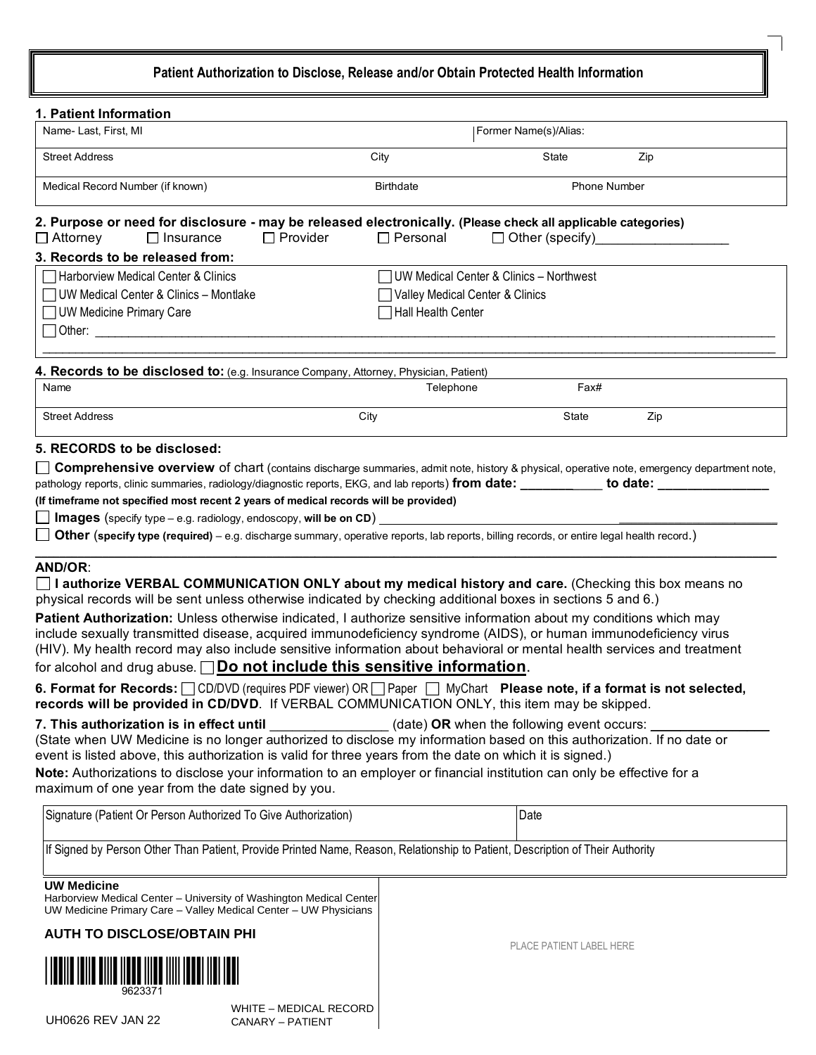# **Patient Authorization to Disclose, Release and/or Obtain Protected Health Information**

| 1. Patient Information                                                                                                                                                                                                            |                                           |                                            |                     |  |
|-----------------------------------------------------------------------------------------------------------------------------------------------------------------------------------------------------------------------------------|-------------------------------------------|--------------------------------------------|---------------------|--|
| Name-Last, First, MI                                                                                                                                                                                                              |                                           | Former Name(s)/Alias:                      |                     |  |
| <b>Street Address</b>                                                                                                                                                                                                             | City                                      | State                                      | Zip                 |  |
| Medical Record Number (if known)                                                                                                                                                                                                  | <b>Birthdate</b>                          |                                            | <b>Phone Number</b> |  |
| 2. Purpose or need for disclosure - may be released electronically. (Please check all applicable categories)<br>$\Box$ Provider<br>$\Box$ Attorney<br>$\Box$ Insurance                                                            | $\Box$ Personal                           | $\Box$ Other (specify)                     |                     |  |
| 3. Records to be released from:                                                                                                                                                                                                   |                                           |                                            |                     |  |
| Harborview Medical Center & Clinics                                                                                                                                                                                               | □ UW Medical Center & Clinics - Northwest |                                            |                     |  |
| UW Medical Center & Clinics - Montlake                                                                                                                                                                                            | Valley Medical Center & Clinics           |                                            |                     |  |
| □ UW Medicine Primary Care                                                                                                                                                                                                        | ヿHall Health Center                       |                                            |                     |  |
| $\Box$ Other:                                                                                                                                                                                                                     |                                           |                                            |                     |  |
| 4. Records to be disclosed to: (e.g. Insurance Company, Attorney, Physician, Patient)                                                                                                                                             |                                           |                                            |                     |  |
| Name                                                                                                                                                                                                                              | Telephone                                 | Fax#                                       |                     |  |
| <b>Street Address</b>                                                                                                                                                                                                             | City                                      | State                                      | Zip                 |  |
| 5. RECORDS to be disclosed:                                                                                                                                                                                                       |                                           |                                            |                     |  |
| <b>Comprehensive overview</b> of chart (contains discharge summaries, admit note, history & physical, operative note, emergency department note,                                                                                  |                                           |                                            |                     |  |
|                                                                                                                                                                                                                                   |                                           |                                            |                     |  |
| (If timeframe not specified most recent 2 years of medical records will be provided)                                                                                                                                              |                                           |                                            |                     |  |
| <b>Images</b> (specify type – e.g. radiology, endoscopy, will be on CD)                                                                                                                                                           |                                           |                                            |                     |  |
| Other (specify type (required) - e.g. discharge summary, operative reports, lab reports, billing records, or entire legal health record.)                                                                                         |                                           |                                            |                     |  |
| AND/OR:                                                                                                                                                                                                                           |                                           |                                            |                     |  |
| $\Box$ I authorize VERBAL COMMUNICATION ONLY about my medical history and care. (Checking this box means no                                                                                                                       |                                           |                                            |                     |  |
| physical records will be sent unless otherwise indicated by checking additional boxes in sections 5 and 6.)                                                                                                                       |                                           |                                            |                     |  |
| Patient Authorization: Unless otherwise indicated, I authorize sensitive information about my conditions which may                                                                                                                |                                           |                                            |                     |  |
| include sexually transmitted disease, acquired immunodeficiency syndrome (AIDS), or human immunodeficiency virus                                                                                                                  |                                           |                                            |                     |  |
| (HIV). My health record may also include sensitive information about behavioral or mental health services and treatment                                                                                                           |                                           |                                            |                     |  |
| for alcohol and drug abuse. $\Box$ Do not include this sensitive information.                                                                                                                                                     |                                           |                                            |                     |  |
| 6. Format for Records: OD/DVD (requires PDF viewer) OR Paper   MyChart Please note, if a format is not selected,<br>records will be provided in CD/DVD. If VERBAL COMMUNICATION ONLY, this item may be skipped.                   |                                           |                                            |                     |  |
| 7. This authorization is in effect until                                                                                                                                                                                          |                                           | (date) OR when the following event occurs: |                     |  |
| (State when UW Medicine is no longer authorized to disclose my information based on this authorization. If no date or<br>event is listed above, this authorization is valid for three years from the date on which it is signed.) |                                           |                                            |                     |  |
| Note: Authorizations to disclose your information to an employer or financial institution can only be effective for a                                                                                                             |                                           |                                            |                     |  |
| maximum of one year from the date signed by you.                                                                                                                                                                                  |                                           |                                            |                     |  |
| Signature (Patient Or Person Authorized To Give Authorization)                                                                                                                                                                    |                                           | Date                                       |                     |  |
| If Signed by Person Other Than Patient, Provide Printed Name, Reason, Relationship to Patient, Description of Their Authority                                                                                                     |                                           |                                            |                     |  |
| <b>UW Medicine</b>                                                                                                                                                                                                                |                                           |                                            |                     |  |
| Harborview Medical Center - University of Washington Medical Center<br>UW Medicine Primary Care - Valley Medical Center - UW Physicians                                                                                           |                                           |                                            |                     |  |

**AUTH TO DISCLOSE/OBTAIN PHI** 



WHITE – MEDICAL RECORD UH0626 REV JAN 22 CANARY – PATIENT

PLACE PATIENT LABEL HERE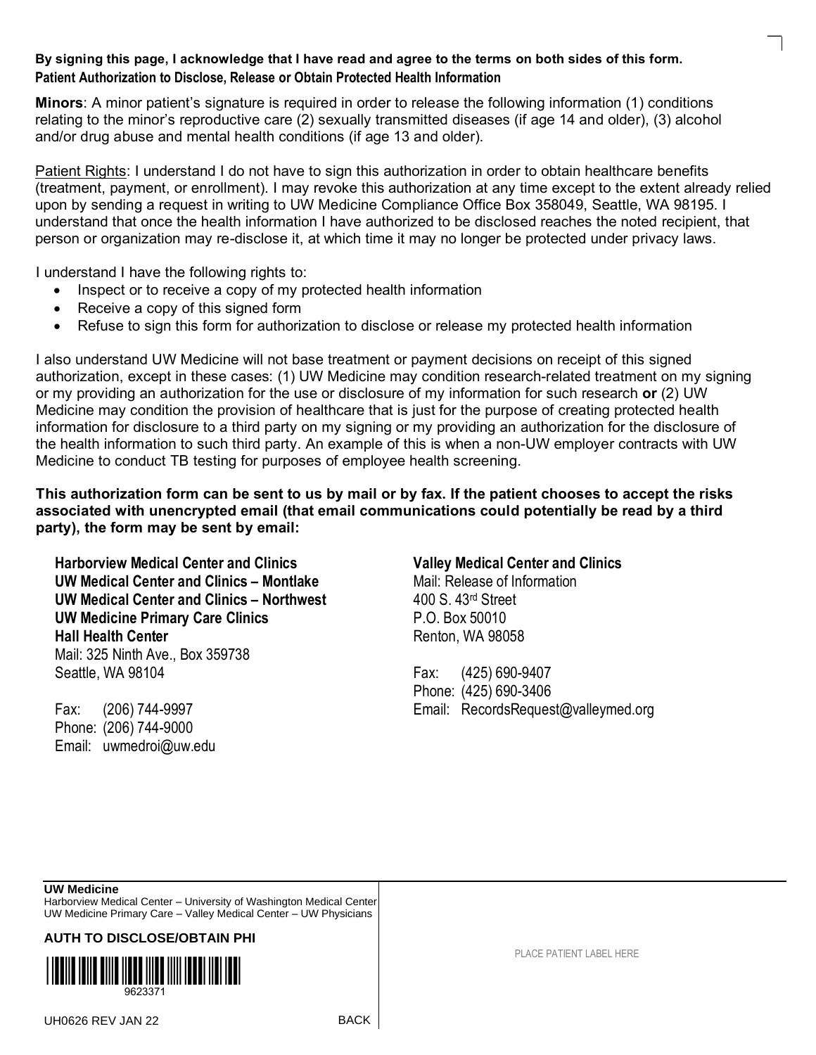### **By signing this page, I acknowledge that I have read and agree to the terms on both sides of this form. Patient Authorization to Disclose, Release or Obtain Protected Health Information**

**Minors**: A minor patient's signature is required in order to release the following information (1) conditions relating to the minor's reproductive care (2) sexually transmitted diseases (if age 14 and older), (3) alcohol and/or drug abuse and mental health conditions (if age 13 and older).

Patient Rights: I understand I do not have to sign this authorization in order to obtain healthcare benefits (treatment, payment, or enrollment). I may revoke this authorization at any time except to the extent already relied upon by sending a request in writing to UW Medicine Compliance Office Box 358049, Seattle, WA 98195. I understand that once the health information I have authorized to be disclosed reaches the noted recipient, that person or organization may re-disclose it, at which time it may no longer be protected under privacy laws.

I understand I have the following rights to:

- Inspect or to receive a copy of my protected health information
- Receive a copy of this signed form
- Refuse to sign this form for authorization to disclose or release my protected health information

I also understand UW Medicine will not base treatment or payment decisions on receipt of this signed authorization, except in these cases: (1) UW Medicine may condition research-related treatment on my signing or my providing an authorization for the use or disclosure of my information for such research **or** (2) UW Medicine may condition the provision of healthcare that is just for the purpose of creating protected health information for disclosure to a third party on my signing or my providing an authorization for the disclosure of the health information to such third party. An example of this is when a non-UW employer contracts with UW Medicine to conduct TB testing for purposes of employee health screening.

**This authorization form can be sent to us by mail or by fax. If the patient chooses to accept the risks associated with unencrypted email (that email communications could potentially be read by a third party), the form may be sent by email:** 

**Harborview Medical Center and Clinics Valley Medical Center and Clinics UW Medical Center and Clinics – Montlake** Mail: Release of Information **UW Medical Center and Clinics – Northwest** 400 S. 43<sup>rd</sup> Street **UW Medicine Primary Care Clinics** P.O. Box 50010 Hall Health Center **Renton**, WA 98058 Mail: 325 Ninth Ave., Box 359738 Seattle, WA 98104 Fax: (425) 690-9407

Phone: (206) 744-9000 Email: uwmedroi@uw.edu

Phone: (425) 690-3406 Fax: (206) 744-9997 Email: RecordsRequest@valleymed.org

### **UW Medicine**

Harborview Medical Center – University of Washington Medical Center UW Medicine Primary Care – Valley Medical Center – UW Physicians

**AUTH TO DISCLOSE/OBTAIN PHI**



UH0626 REV JAN 22 BACK

PLACE PATIENT LABEL HERE